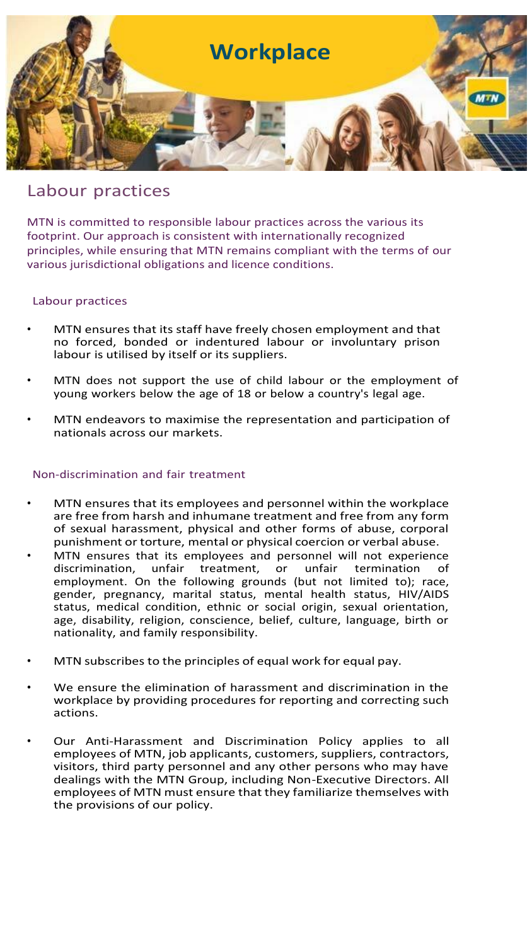

# Labour practices

MTN is committed to responsible labour practices across the various its footprint. Our approach is consistent with internationally recognized principles, while ensuring that MTN remains compliant with the terms of our various jurisdictional obligations and licence conditions.

## Labour practices

- MTN ensures that its staff have freely chosen employment and that no forced, bonded or indentured labour or involuntary prison labour is utilised by itself or its suppliers.
- MTN does not support the use of child labour or the employment of young workers below the age of 18 or below a country's legal age.
- MTN endeavors to maximise the representation and participation of nationals across our markets.

## Non-discrimination and fair treatment

- MTN ensures that its employees and personnel within the workplace are free from harsh and inhumane treatment and free from any form of sexual harassment, physical and other forms of abuse, corporal punishment or torture, mental or physical coercion or verbal abuse.
- MTN ensures that its employees and personnel will not experience discrimination, unfair treatment, or unfair termination of discrimination, unfair treatment, or unfair termination of employment. On the following grounds (but not limited to); race, gender, pregnancy, marital status, mental health status, HIV/AIDS status, medical condition, ethnic or social origin, sexual orientation, age, disability, religion, conscience, belief, culture, language, birth or nationality, and family responsibility.
- MTN subscribes to the principles of equal work for equal pay.
- We ensure the elimination of harassment and discrimination in the workplace by providing procedures for reporting and correcting such actions.
- Our Anti-Harassment and Discrimination Policy applies to all employees of MTN, job applicants, customers, suppliers, contractors, visitors, third party personnel and any other persons who may have dealings with the MTN Group, including Non-Executive Directors. All employees of MTN must ensure that they familiarize themselves with the provisions of our policy.